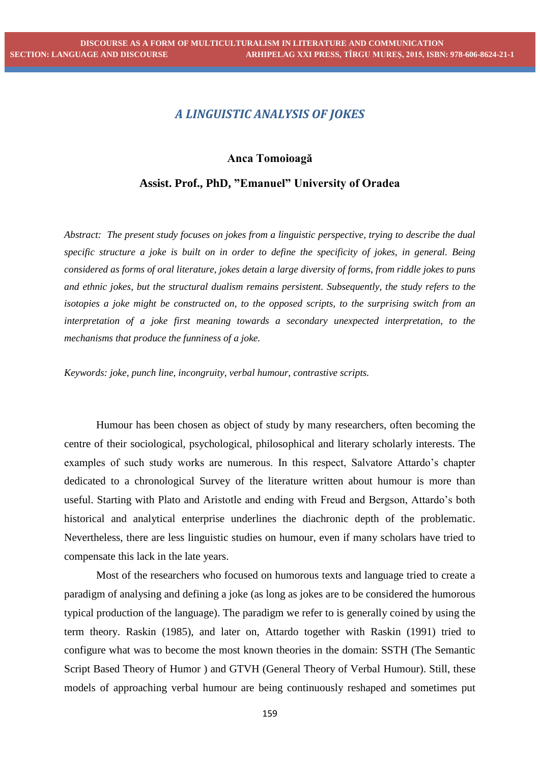## *A LINGUISTIC ANALYSIS OF JOKES*

## **Anca Tomoioagă**

## **Assist. Prof., PhD, "Emanuel" University of Oradea**

*Abstract: The present study focuses on jokes from a linguistic perspective, trying to describe the dual specific structure a joke is built on in order to define the specificity of jokes, in general. Being considered as forms of oral literature, jokes detain a large diversity of forms, from riddle jokes to puns and ethnic jokes, but the structural dualism remains persistent. Subsequently, the study refers to the isotopies a joke might be constructed on, to the opposed scripts, to the surprising switch from an interpretation of a joke first meaning towards a secondary unexpected interpretation, to the mechanisms that produce the funniness of a joke.*

*Keywords: joke, punch line, incongruity, verbal humour, contrastive scripts.* 

Humour has been chosen as object of study by many researchers, often becoming the centre of their sociological, psychological, philosophical and literary scholarly interests. The examples of such study works are numerous. In this respect, Salvatore Attardo's chapter dedicated to a chronological Survey of the literature written about humour is more than useful. Starting with Plato and Aristotle and ending with Freud and Bergson, Attardo's both historical and analytical enterprise underlines the diachronic depth of the problematic. Nevertheless, there are less linguistic studies on humour, even if many scholars have tried to compensate this lack in the late years.

Most of the researchers who focused on humorous texts and language tried to create a paradigm of analysing and defining a joke (as long as jokes are to be considered the humorous typical production of the language). The paradigm we refer to is generally coined by using the term theory. Raskin (1985), and later on, Attardo together with Raskin (1991) tried to configure what was to become the most known theories in the domain: SSTH (The Semantic Script Based Theory of Humor ) and GTVH (General Theory of Verbal Humour). Still, these models of approaching verbal humour are being continuously reshaped and sometimes put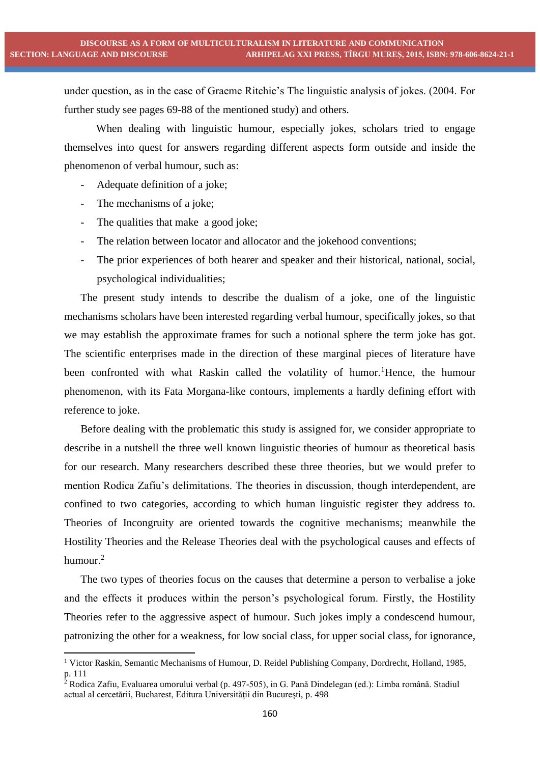under question, as in the case of Graeme Ritchie's The linguistic analysis of jokes. (2004. For further study see pages 69-88 of the mentioned study) and others.

When dealing with linguistic humour, especially jokes, scholars tried to engage themselves into quest for answers regarding different aspects form outside and inside the phenomenon of verbal humour, such as:

- Adequate definition of a joke;
- The mechanisms of a joke;

**.** 

- The qualities that make a good joke;
- The relation between locator and allocator and the jokehood conventions;
- The prior experiences of both hearer and speaker and their historical, national, social, psychological individualities;

The present study intends to describe the dualism of a joke, one of the linguistic mechanisms scholars have been interested regarding verbal humour, specifically jokes, so that we may establish the approximate frames for such a notional sphere the term joke has got. The scientific enterprises made in the direction of these marginal pieces of literature have been confronted with what Raskin called the volatility of humor.<sup>1</sup>Hence, the humour phenomenon, with its Fata Morgana-like contours, implements a hardly defining effort with reference to joke.

Before dealing with the problematic this study is assigned for, we consider appropriate to describe in a nutshell the three well known linguistic theories of humour as theoretical basis for our research. Many researchers described these three theories, but we would prefer to mention Rodica Zafiu's delimitations. The theories in discussion, though interdependent, are confined to two categories, according to which human linguistic register they address to. Theories of Incongruity are oriented towards the cognitive mechanisms; meanwhile the Hostility Theories and the Release Theories deal with the psychological causes and effects of humour.<sup>2</sup>

The two types of theories focus on the causes that determine a person to verbalise a joke and the effects it produces within the person's psychological forum. Firstly, the Hostility Theories refer to the aggressive aspect of humour. Such jokes imply a condescend humour, patronizing the other for a weakness, for low social class, for upper social class, for ignorance,

<sup>1</sup> Victor Raskin, Semantic Mechanisms of Humour, D. Reidel Publishing Company, Dordrecht, Holland, 1985, p. 111

 $^2$  Rodica Zafiu, Evaluarea umorului verbal (p. 497-505), in G. Pană Dindelegan (ed.): Limba română. Stadiul actual al cercetării, Bucharest, Editura Universității din București, p. 498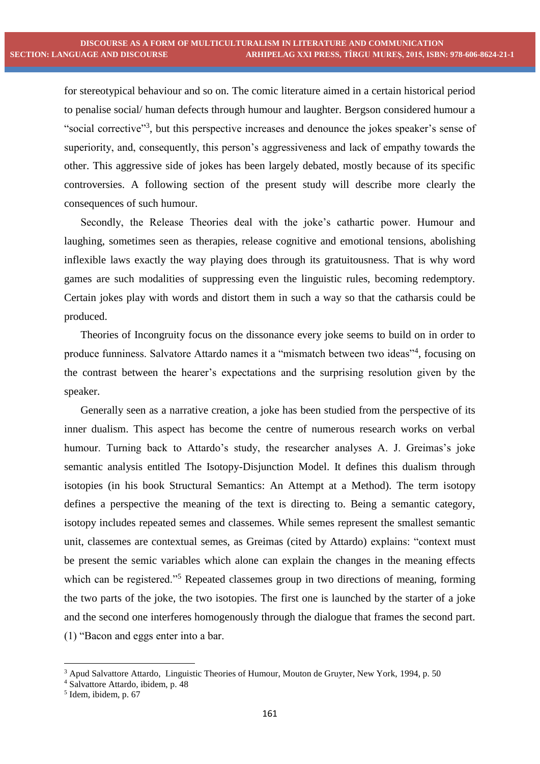for stereotypical behaviour and so on. The comic literature aimed in a certain historical period to penalise social/ human defects through humour and laughter. Bergson considered humour a "social corrective"<sup>3</sup>, but this perspective increases and denounce the jokes speaker's sense of superiority, and, consequently, this person's aggressiveness and lack of empathy towards the other. This aggressive side of jokes has been largely debated, mostly because of its specific controversies. A following section of the present study will describe more clearly the consequences of such humour.

Secondly, the Release Theories deal with the joke's cathartic power. Humour and laughing, sometimes seen as therapies, release cognitive and emotional tensions, abolishing inflexible laws exactly the way playing does through its gratuitousness. That is why word games are such modalities of suppressing even the linguistic rules, becoming redemptory. Certain jokes play with words and distort them in such a way so that the catharsis could be produced.

Theories of Incongruity focus on the dissonance every joke seems to build on in order to produce funniness. Salvatore Attardo names it a "mismatch between two ideas"<sup>4</sup>, focusing on the contrast between the hearer's expectations and the surprising resolution given by the speaker.

Generally seen as a narrative creation, a joke has been studied from the perspective of its inner dualism. This aspect has become the centre of numerous research works on verbal humour. Turning back to Attardo's study, the researcher analyses A. J. Greimas's joke semantic analysis entitled The Isotopy-Disjunction Model. It defines this dualism through isotopies (in his book Structural Semantics: An Attempt at a Method). The term isotopy defines a perspective the meaning of the text is directing to. Being a semantic category, isotopy includes repeated semes and classemes. While semes represent the smallest semantic unit, classemes are contextual semes, as Greimas (cited by Attardo) explains: "context must be present the semic variables which alone can explain the changes in the meaning effects which can be registered."<sup>5</sup> Repeated classemes group in two directions of meaning, forming the two parts of the joke, the two isotopies. The first one is launched by the starter of a joke and the second one interferes homogenously through the dialogue that frames the second part. (1) "Bacon and eggs enter into a bar.

1

<sup>3</sup> Apud Salvattore Attardo, Linguistic Theories of Humour, Mouton de Gruyter, New York, 1994, p. 50

<sup>4</sup> Salvattore Attardo, ibidem, p. 48

<sup>5</sup> Idem, ibidem, p. 67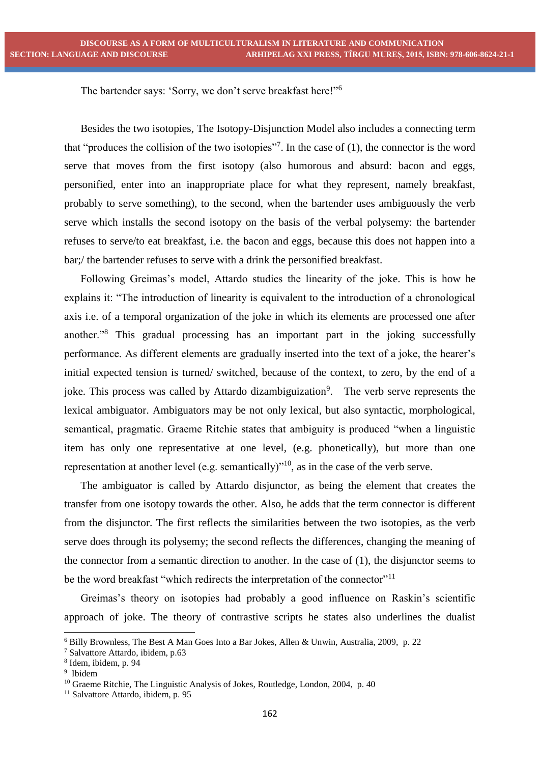The bartender says: 'Sorry, we don't serve breakfast here!"<sup>6</sup>

Besides the two isotopies, The Isotopy-Disjunction Model also includes a connecting term that "produces the collision of the two isotopies"<sup>7</sup>. In the case of  $(1)$ , the connector is the word serve that moves from the first isotopy (also humorous and absurd: bacon and eggs, personified, enter into an inappropriate place for what they represent, namely breakfast, probably to serve something), to the second, when the bartender uses ambiguously the verb serve which installs the second isotopy on the basis of the verbal polysemy: the bartender refuses to serve/to eat breakfast, i.e. the bacon and eggs, because this does not happen into a bar;/ the bartender refuses to serve with a drink the personified breakfast.

Following Greimas's model, Attardo studies the linearity of the joke. This is how he explains it: "The introduction of linearity is equivalent to the introduction of a chronological axis i.e. of a temporal organization of the joke in which its elements are processed one after another."<sup>8</sup> This gradual processing has an important part in the joking successfully performance. As different elements are gradually inserted into the text of a joke, the hearer's initial expected tension is turned/ switched, because of the context, to zero, by the end of a joke. This process was called by Attardo dizambiguization<sup>9</sup>. The verb serve represents the lexical ambiguator. Ambiguators may be not only lexical, but also syntactic, morphological, semantical, pragmatic. Graeme Ritchie states that ambiguity is produced "when a linguistic item has only one representative at one level, (e.g. phonetically), but more than one representation at another level (e.g. semantically)"<sup>10</sup>, as in the case of the verb serve.

The ambiguator is called by Attardo disjunctor, as being the element that creates the transfer from one isotopy towards the other. Also, he adds that the term connector is different from the disjunctor. The first reflects the similarities between the two isotopies, as the verb serve does through its polysemy; the second reflects the differences, changing the meaning of the connector from a semantic direction to another. In the case of (1), the disjunctor seems to be the word breakfast "which redirects the interpretation of the connector"<sup>11</sup>

Greimas's theory on isotopies had probably a good influence on Raskin's scientific approach of joke. The theory of contrastive scripts he states also underlines the dualist

 $\overline{a}$ 

<sup>6</sup> Billy Brownless, The Best A Man Goes Into a Bar Jokes, Allen & Unwin, Australia, 2009, p. 22

<sup>7</sup> Salvattore Attardo, ibidem, p.63

<sup>8</sup> Idem, ibidem, p. 94

<sup>9</sup> Ibidem

<sup>&</sup>lt;sup>10</sup> Graeme Ritchie, The Linguistic Analysis of Jokes, Routledge, London, 2004, p. 40

<sup>&</sup>lt;sup>11</sup> Salvattore Attardo, ibidem, p. 95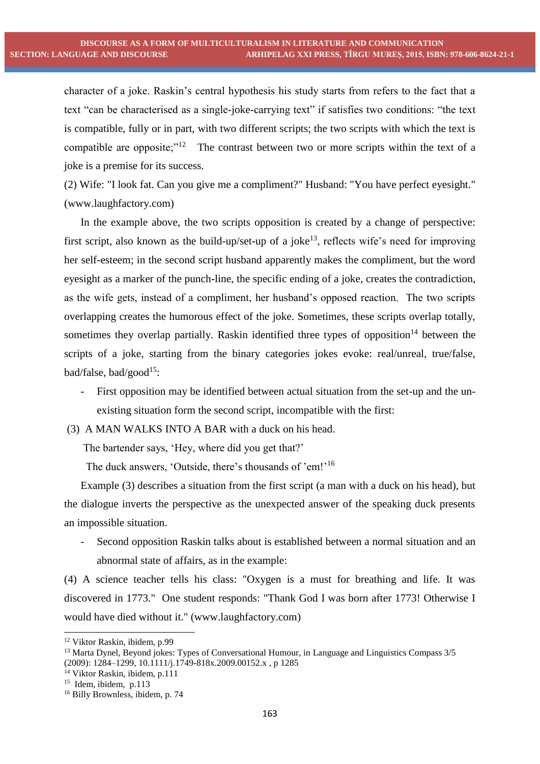character of a joke. Raskin's central hypothesis his study starts from refers to the fact that a text "can be characterised as a single-joke-carrying text" if satisfies two conditions: "the text is compatible, fully or in part, with two different scripts; the two scripts with which the text is compatible are opposite;"<sup>12</sup> The contrast between two or more scripts within the text of a joke is a premise for its success.

(2) Wife: "I look fat. Can you give me a compliment?" Husband: "You have perfect eyesight." (www.laughfactory.com)

In the example above, the two scripts opposition is created by a change of perspective: first script, also known as the build-up/set-up of a joke<sup>13</sup>, reflects wife's need for improving her self-esteem; in the second script husband apparently makes the compliment, but the word eyesight as a marker of the punch-line, the specific ending of a joke, creates the contradiction, as the wife gets, instead of a compliment, her husband's opposed reaction. The two scripts overlapping creates the humorous effect of the joke. Sometimes, these scripts overlap totally, sometimes they overlap partially. Raskin identified three types of opposition<sup>14</sup> between the scripts of a joke, starting from the binary categories jokes evoke: real/unreal, true/false, bad/false, bad/good<sup>15</sup>:

- First opposition may be identified between actual situation from the set-up and the unexisting situation form the second script, incompatible with the first:

(3) A MAN WALKS INTO A BAR with a duck on his head.

The bartender says, 'Hey, where did you get that?'

The duck answers, 'Outside, there's thousands of 'em!'<sup>16</sup>

Example (3) describes a situation from the first script (a man with a duck on his head), but the dialogue inverts the perspective as the unexpected answer of the speaking duck presents an impossible situation.

- Second opposition Raskin talks about is established between a normal situation and an abnormal state of affairs, as in the example:

(4) A science teacher tells his class: "Oxygen is a must for breathing and life. It was discovered in 1773." One student responds: "Thank God I was born after 1773! Otherwise I would have died without it." [\(www.laughfactory.com\)](http://www.laughfactory.com/)

 $\overline{a}$ 

<sup>12</sup> Viktor Raskin, ibidem, p.99

<sup>&</sup>lt;sup>13</sup> Marta Dynel, Beyond jokes: Types of Conversational Humour, in Language and Linguistics Compass 3/5 (2009): 1284–1299, 10.1111/j.1749-818x.2009.00152.x , p 1285

<sup>14</sup> Viktor Raskin, ibidem, p.111

<sup>&</sup>lt;sup>15</sup> Idem, ibidem, p.113

<sup>&</sup>lt;sup>16</sup> Billy Brownless, ibidem, p. 74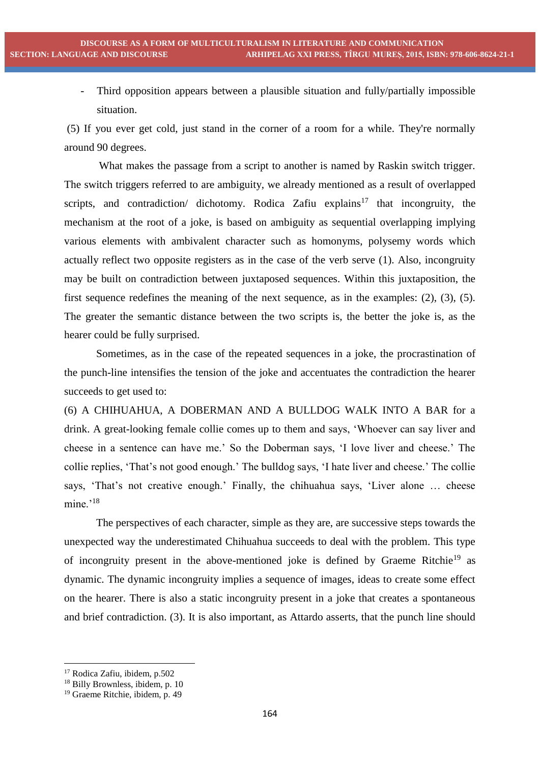Third opposition appears between a plausible situation and fully/partially impossible situation.

(5) If you ever get cold, just stand in the corner of a room for a while. They're normally around 90 degrees.

What makes the passage from a script to another is named by Raskin switch trigger. The switch triggers referred to are ambiguity, we already mentioned as a result of overlapped scripts, and contradiction/ dichotomy. Rodica Zafiu explains<sup>17</sup> that incongruity, the mechanism at the root of a joke, is based on ambiguity as sequential overlapping implying various elements with ambivalent character such as homonyms, polysemy words which actually reflect two opposite registers as in the case of the verb serve (1). Also, incongruity may be built on contradiction between juxtaposed sequences. Within this juxtaposition, the first sequence redefines the meaning of the next sequence, as in the examples: (2), (3), (5). The greater the semantic distance between the two scripts is, the better the joke is, as the hearer could be fully surprised.

Sometimes, as in the case of the repeated sequences in a joke, the procrastination of the punch-line intensifies the tension of the joke and accentuates the contradiction the hearer succeeds to get used to:

(6) A CHIHUAHUA, A DOBERMAN AND A BULLDOG WALK INTO A BAR for a drink. A great-looking female collie comes up to them and says, 'Whoever can say liver and cheese in a sentence can have me.' So the Doberman says, 'I love liver and cheese.' The collie replies, 'That's not good enough.' The bulldog says, 'I hate liver and cheese.' The collie says, 'That's not creative enough.' Finally, the chihuahua says, 'Liver alone … cheese mine.'<sup>18</sup>

The perspectives of each character, simple as they are, are successive steps towards the unexpected way the underestimated Chihuahua succeeds to deal with the problem. This type of incongruity present in the above-mentioned joke is defined by Graeme Ritchie<sup>19</sup> as dynamic. The dynamic incongruity implies a sequence of images, ideas to create some effect on the hearer. There is also a static incongruity present in a joke that creates a spontaneous and brief contradiction. (3). It is also important, as Attardo asserts, that the punch line should

1

<sup>17</sup> Rodica Zafiu, ibidem, p.502

<sup>&</sup>lt;sup>18</sup> Billy Brownless, ibidem, p. 10

<sup>19</sup> Graeme Ritchie, ibidem, p. 49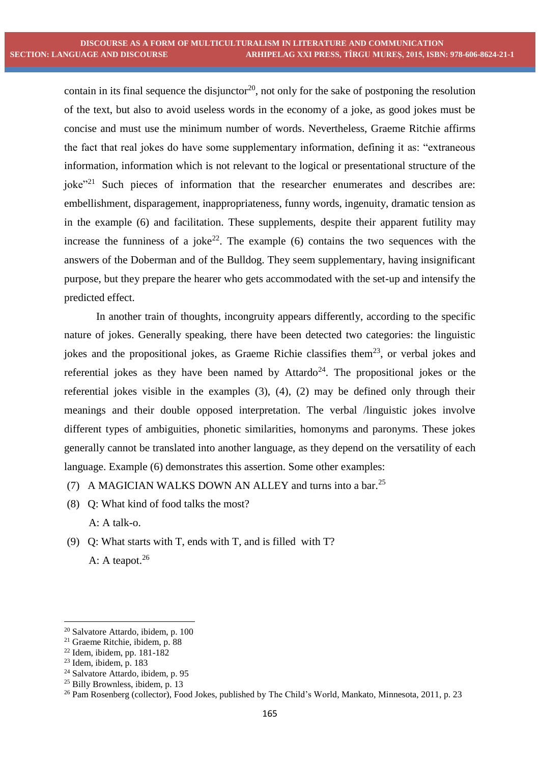contain in its final sequence the disjunctor<sup>20</sup>, not only for the sake of postponing the resolution of the text, but also to avoid useless words in the economy of a joke, as good jokes must be concise and must use the minimum number of words. Nevertheless, Graeme Ritchie affirms the fact that real jokes do have some supplementary information, defining it as: "extraneous information, information which is not relevant to the logical or presentational structure of the joke"<sup>21</sup> Such pieces of information that the researcher enumerates and describes are: embellishment, disparagement, inappropriateness, funny words, ingenuity, dramatic tension as in the example (6) and facilitation. These supplements, despite their apparent futility may increase the funniness of a joke<sup>22</sup>. The example  $(6)$  contains the two sequences with the answers of the Doberman and of the Bulldog. They seem supplementary, having insignificant purpose, but they prepare the hearer who gets accommodated with the set-up and intensify the predicted effect.

In another train of thoughts, incongruity appears differently, according to the specific nature of jokes. Generally speaking, there have been detected two categories: the linguistic jokes and the propositional jokes, as Graeme Richie classifies them<sup>23</sup>, or verbal jokes and referential jokes as they have been named by  $Attardo<sup>24</sup>$ . The propositional jokes or the referential jokes visible in the examples (3), (4), (2) may be defined only through their meanings and their double opposed interpretation. The verbal /linguistic jokes involve different types of ambiguities, phonetic similarities, homonyms and paronyms. These jokes generally cannot be translated into another language, as they depend on the versatility of each language. Example (6) demonstrates this assertion. Some other examples:

- (7) A MAGICIAN WALKS DOWN AN ALLEY and turns into a bar.<sup>25</sup>
- (8) Q: What kind of food talks the most?
	- A: A talk-o.
- (9) Q: What starts with T, ends with T, and is filled with T? A: A teapot. $26$

**.** 

<sup>20</sup> Salvatore Attardo, ibidem, p. 100

<sup>21</sup> Graeme Ritchie, ibidem, p. 88

 $22$  Idem, ibidem, pp. 181-182

 $23$  Idem, ibidem, p. 183

<sup>24</sup> Salvatore Attardo, ibidem, p. 95

<sup>25</sup> Billy Brownless, ibidem, p. 13

<sup>&</sup>lt;sup>26</sup> Pam Rosenberg (collector), Food Jokes, published by The Child's World, Mankato, Minnesota, 2011, p. 23